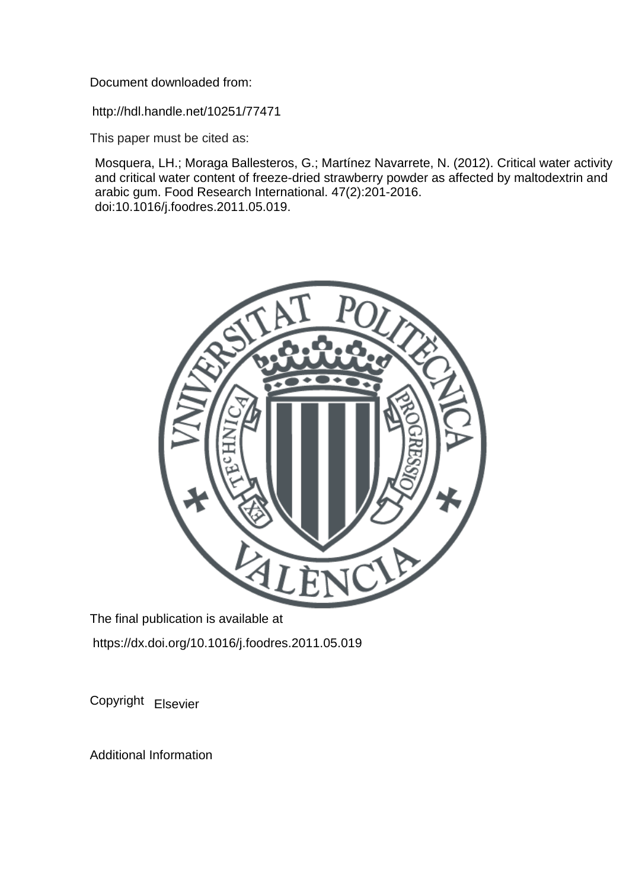Document downloaded from:

http://hdl.handle.net/10251/77471

This paper must be cited as:

Mosquera, LH.; Moraga Ballesteros, G.; Martínez Navarrete, N. (2012). Critical water activity and critical water content of freeze-dried strawberry powder as affected by maltodextrin and arabic gum. Food Research International. 47(2):201-2016. doi:10.1016/j.foodres.2011.05.019.



The final publication is available at https://dx.doi.org/10.1016/j.foodres.2011.05.019

Copyright Elsevier

Additional Information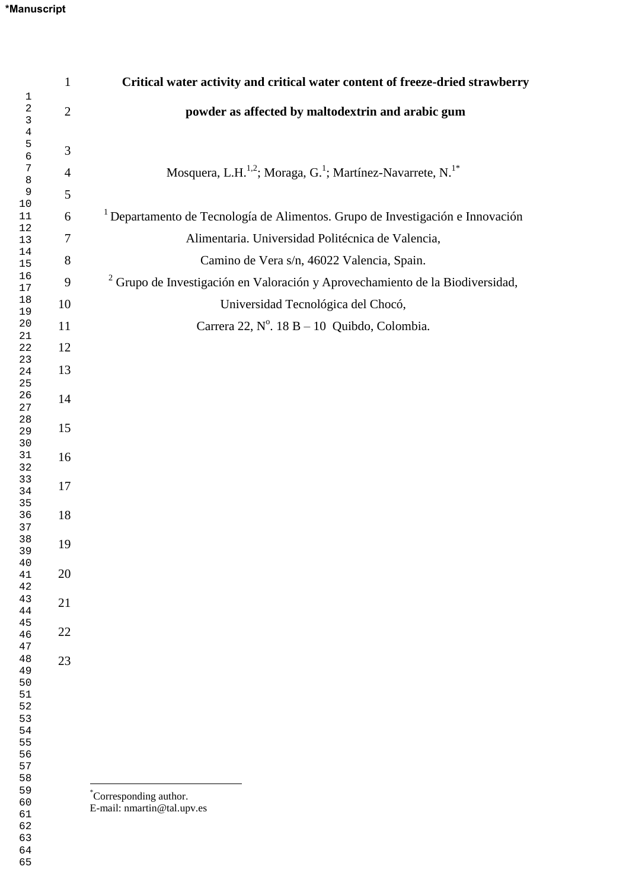|                | Critical water activity and critical water content of freeze-dried strawberry                  |
|----------------|------------------------------------------------------------------------------------------------|
| $\mathbf{2}$   | powder as affected by maltodextrin and arabic gum                                              |
|                |                                                                                                |
| $\overline{4}$ | Mosquera, L.H. <sup>1,2</sup> ; Moraga, G. <sup>1</sup> ; Martínez-Navarrete, N. <sup>1*</sup> |
| 5              |                                                                                                |
| 6              | <sup>1</sup> Departamento de Tecnología de Alimentos. Grupo de Investigación e Innovación      |
| $\tau$         | Alimentaria. Universidad Politécnica de Valencia,                                              |
| 8              | Camino de Vera s/n, 46022 Valencia, Spain.                                                     |
| 9              | <sup>2</sup> Grupo de Investigación en Valoración y Aprovechamiento de la Biodiversidad,       |
| 10             | Universidad Tecnológica del Chocó,                                                             |
| 11             | Carrera 22, Nº. 18 B - 10 Quibdo, Colombia.                                                    |
| 12             |                                                                                                |
| 13             |                                                                                                |
| 14             |                                                                                                |
|                |                                                                                                |
|                |                                                                                                |
| 16             |                                                                                                |
| 17             |                                                                                                |
|                |                                                                                                |
|                |                                                                                                |
|                |                                                                                                |
|                |                                                                                                |
| 21             |                                                                                                |
| 22             |                                                                                                |
| 23             |                                                                                                |
|                |                                                                                                |
|                |                                                                                                |
|                |                                                                                                |
|                |                                                                                                |
|                |                                                                                                |
|                | *Corresponding author.<br>E-mail: nmartin@tal.upv.es                                           |
|                | $\mathbf{1}$<br>3<br>15<br>18<br>19<br>20                                                      |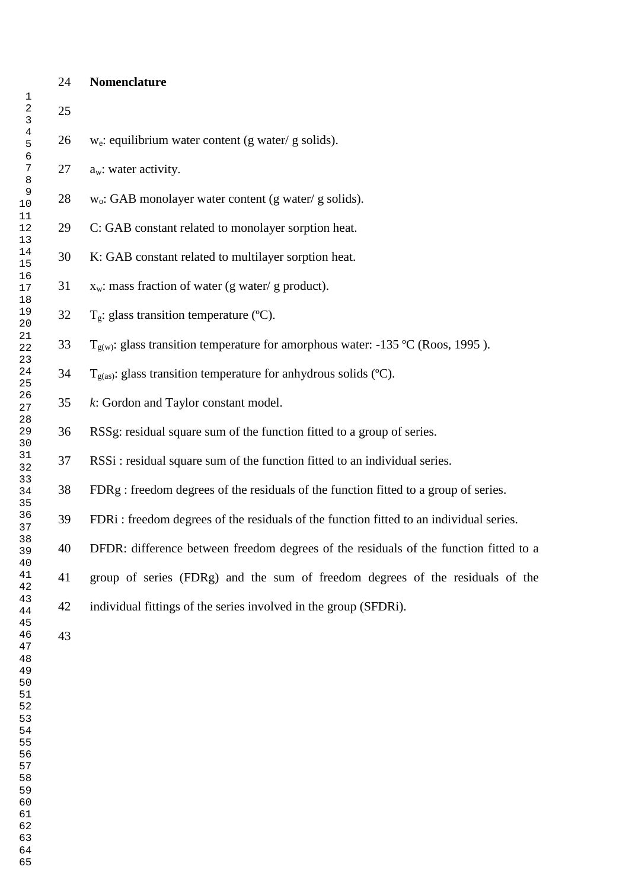## **Nomenclature**

 26 w<sub>e</sub>: equilibrium water content (g water/ g solids).  $a_w$ : water activity. 28 w<sub>o</sub>: GAB monolayer water content (g water/g solids). C: GAB constant related to monolayer sorption heat. K: GAB constant related to multilayer sorption heat.  $x_w$ : mass fraction of water (g water/g product).  $T_g$ : glass transition temperature (°C).  $T_{\text{g(w)}}$ : glass transition temperature for amorphous water: -135 °C (Roos, 1995).  $T_{\text{g(as)}}$ : glass transition temperature for anhydrous solids (°C). *k*: Gordon and Taylor constant model. RSSg: residual square sum of the function fitted to a group of series. RSSi : residual square sum of the function fitted to an individual series. FDRg : freedom degrees of the residuals of the function fitted to a group of series. FDRi : freedom degrees of the residuals of the function fitted to an individual series. DFDR: difference between freedom degrees of the residuals of the function fitted to a group of series (FDRg) and the sum of freedom degrees of the residuals of the individual fittings of the series involved in the group (SFDRi). 

- 
-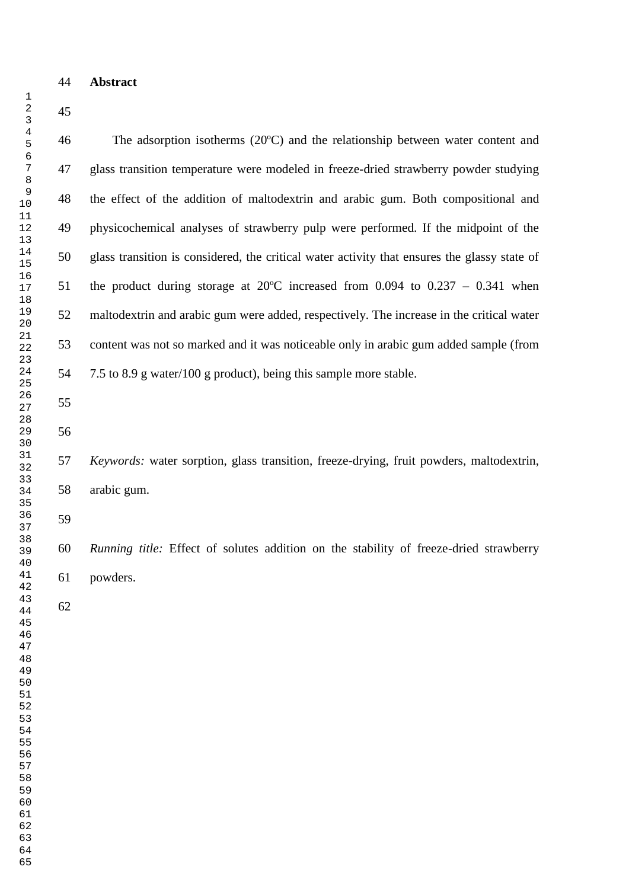**Abstract** 

 The adsorption isotherms (20ºC) and the relationship between water content and glass transition temperature were modeled in freeze-dried strawberry powder studying the effect of the addition of maltodextrin and arabic gum. Both compositional and physicochemical analyses of strawberry pulp were performed. If the midpoint of the glass transition is considered, the critical water activity that ensures the glassy state of the product during storage at 20ºC increased from 0.094 to 0.237 – 0.341 when maltodextrin and arabic gum were added, respectively. The increase in the critical water content was not so marked and it was noticeable only in arabic gum added sample (from 7.5 to 8.9 g water/100 g product), being this sample more stable. 

 *Keywords:* water sorption, glass transition, freeze-drying, fruit powders, maltodextrin, arabic gum.

 *Running title:* Effect of solutes addition on the stability of freeze-dried strawberry powders.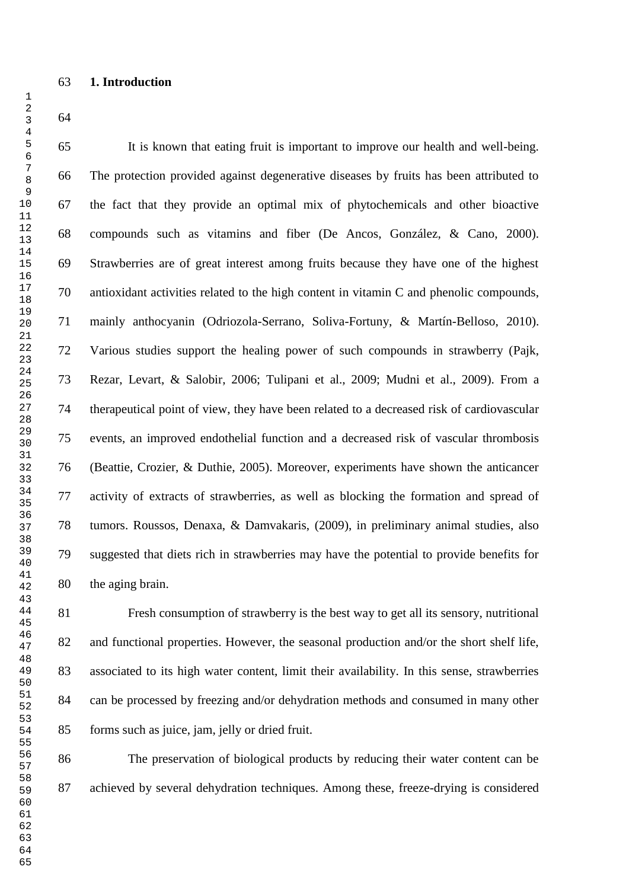It is known that eating fruit is important to improve our health and well-being. The protection provided against degenerative diseases by fruits has been attributed to the fact that they provide an optimal mix of phytochemicals and other bioactive compounds such as vitamins and fiber (De Ancos, González, & Cano, 2000). Strawberries are of great interest among fruits because they have one of the highest antioxidant activities related to the high content in vitamin C and phenolic compounds, mainly anthocyanin (Odriozola-Serrano, Soliva-Fortuny, & Martín-Belloso, 2010). Various studies support the healing power of such compounds in strawberry (Pajk, Rezar, Levart, & Salobir, 2006; Tulipani et al., 2009; Mudni et al., 2009). From a therapeutical point of view, they have been related to a decreased risk of cardiovascular events, an improved endothelial function and a decreased risk of vascular thrombosis (Beattie, Crozier, & Duthie, 2005). Moreover, experiments have shown the anticancer activity of extracts of strawberries, as well as blocking the formation and spread of tumors. Roussos, Denaxa, & Damvakaris, (2009), in preliminary animal studies, also suggested that diets rich in strawberries may have the potential to provide benefits for the aging brain.

 Fresh consumption of strawberry is the best way to get all its sensory, nutritional 82 and functional properties. However, the seasonal production and/or the short shelf life, associated to its high water content, limit their availability. In this sense, strawberries can be processed by freezing and/or dehydration methods and consumed in many other forms such as juice, jam, jelly or dried fruit.

 The preservation of biological products by reducing their water content can be achieved by several dehydration techniques. Among these, freeze-drying is considered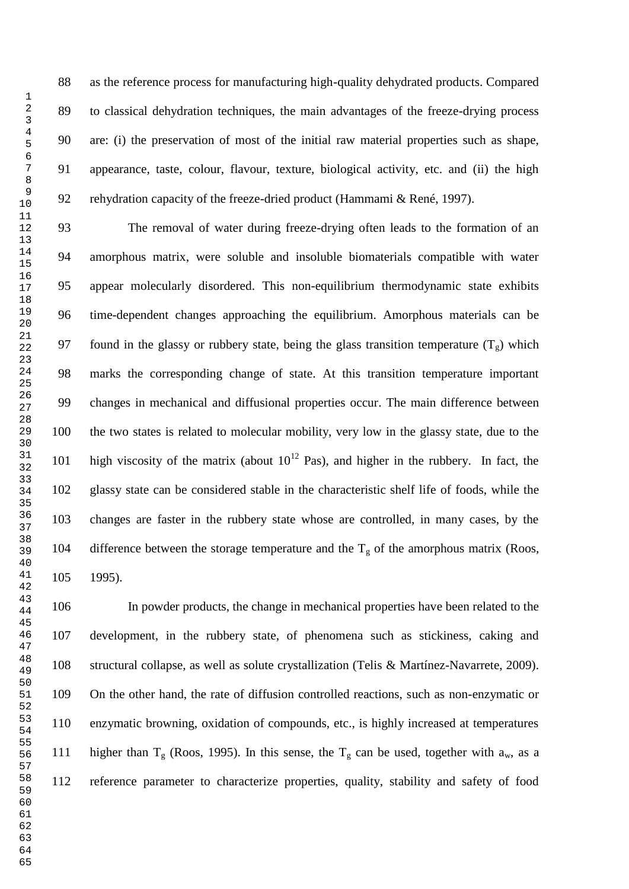as the reference process for manufacturing high-quality dehydrated products. Compared to classical dehydration techniques, the main advantages of the freeze-drying process are: (i) the preservation of most of the initial raw material properties such as shape, appearance, taste, colour, flavour, texture, biological activity, etc. and (ii) the high rehydration capacity of the freeze-dried product (Hammami & René, 1997).

 The removal of water during freeze-drying often leads to the formation of an amorphous matrix, were soluble and insoluble biomaterials compatible with water appear molecularly disordered. This non-equilibrium thermodynamic state exhibits time-dependent changes approaching the equilibrium. Amorphous materials can be 97 found in the glassy or rubbery state, being the glass transition temperature  $(T_g)$  which marks the corresponding change of state. At this transition temperature important changes in mechanical and diffusional properties occur. The main difference between the two states is related to molecular mobility, very low in the glassy state, due to the high viscosity of the matrix (about  $10^{12}$  Pas), and higher in the rubbery. In fact, the glassy state can be considered stable in the characteristic shelf life of foods, while the changes are faster in the rubbery state whose are controlled, in many cases, by the 104 difference between the storage temperature and the  $T_g$  of the amorphous matrix (Roos, 1995).

 In powder products, the change in mechanical properties have been related to the development, in the rubbery state, of phenomena such as stickiness, caking and structural collapse, as well as solute crystallization (Telis & Martínez-Navarrete, 2009). On the other hand, the rate of diffusion controlled reactions, such as non-enzymatic or enzymatic browning, oxidation of compounds, etc., is highly increased at temperatures 111 higher than  $T_g$  (Roos, 1995). In this sense, the  $T_g$  can be used, together with  $a_w$ , as a reference parameter to characterize properties, quality, stability and safety of food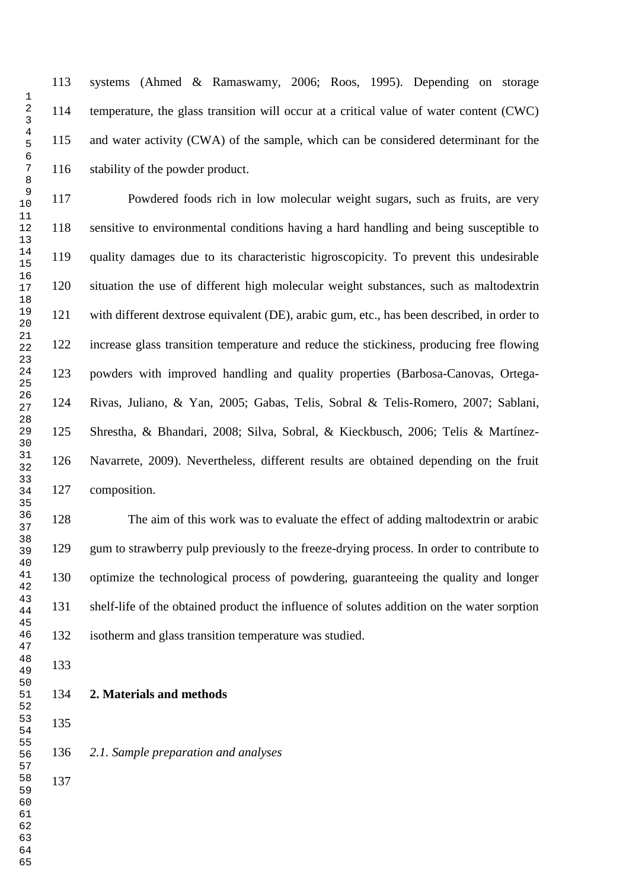systems (Ahmed & Ramaswamy, 2006; Roos, 1995). Depending on storage temperature, the glass transition will occur at a critical value of water content (CWC) and water activity (CWA) of the sample, which can be considered determinant for the stability of the powder product.

 Powdered foods rich in low molecular weight sugars, such as fruits, are very sensitive to environmental conditions having a hard handling and being susceptible to quality damages due to its characteristic higroscopicity. To prevent this undesirable situation the use of different high molecular weight substances, such as maltodextrin with different dextrose equivalent (DE), arabic gum, etc., has been described, in order to increase glass transition temperature and reduce the stickiness, producing free flowing powders with improved handling and quality properties (Barbosa-Canovas, Ortega- Rivas, Juliano, & Yan, 2005; Gabas, Telis, Sobral & Telis-Romero, 2007; Sablani, Shrestha, & Bhandari, 2008; Silva, Sobral, & Kieckbusch, 2006; Telis & Martínez- Navarrete, 2009). Nevertheless, different results are obtained depending on the fruit composition.

 The aim of this work was to evaluate the effect of adding maltodextrin or arabic gum to strawberry pulp previously to the freeze-drying process. In order to contribute to optimize the technological process of powdering, guaranteeing the quality and longer shelf-life of the obtained product the influence of solutes addition on the water sorption isotherm and glass transition temperature was studied.

- - **2. Materials and methods**
- 

- *2.1. Sample preparation and analyses*
-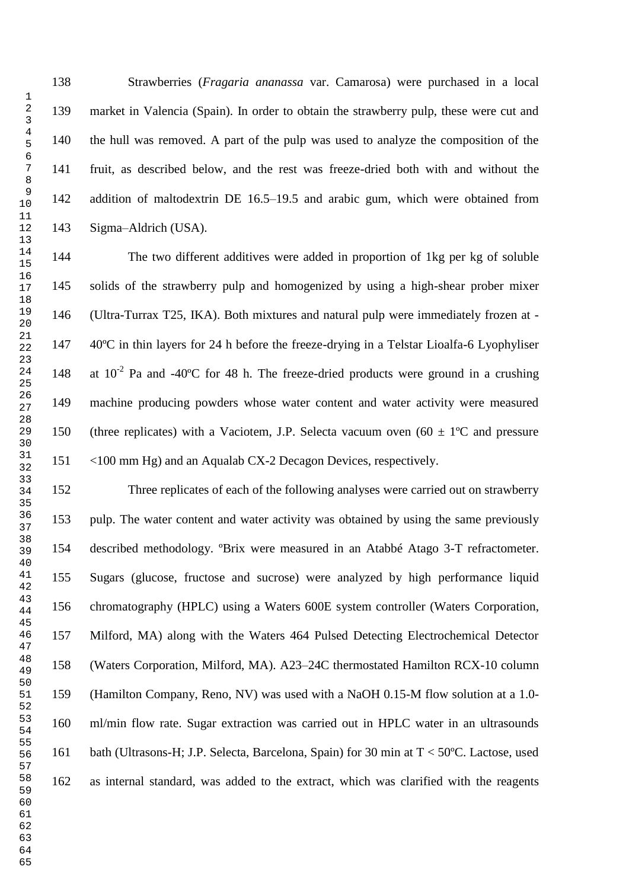Strawberries (*Fragaria ananassa* var. Camarosa) were purchased in a local market in Valencia (Spain). In order to obtain the strawberry pulp, these were cut and the hull was removed. A part of the pulp was used to analyze the composition of the fruit, as described below, and the rest was freeze-dried both with and without the addition of maltodextrin DE 16.5–19.5 and arabic gum, which were obtained from Sigma–Aldrich (USA).

 The two different additives were added in proportion of 1kg per kg of soluble solids of the strawberry pulp and homogenized by using a high-shear prober mixer (Ultra-Turrax T25, IKA). Both mixtures and natural pulp were immediately frozen at - 40ºC in thin layers for 24 h before the freeze-drying in a Telstar Lioalfa-6 Lyophyliser 148 at  $10^{-2}$  Pa and -40°C for 48 h. The freeze-dried products were ground in a crushing machine producing powders whose water content and water activity were measured 150 (three replicates) with a Vaciotem, J.P. Selecta vacuum oven  $(60 \pm 1^{\circ}C)$  and pressure <100 mm Hg) and an Aqualab CX-2 Decagon Devices, respectively.

 Three replicates of each of the following analyses were carried out on strawberry pulp. The water content and water activity was obtained by using the same previously described methodology. ºBrix were measured in an Atabbé Atago 3-T refractometer. Sugars (glucose, fructose and sucrose) were analyzed by high performance liquid chromatography (HPLC) using a Waters 600E system controller (Waters Corporation, Milford, MA) along with the Waters 464 Pulsed Detecting Electrochemical Detector (Waters Corporation, Milford, MA). A23–24C thermostated Hamilton RCX-10 column (Hamilton Company, Reno, NV) was used with a NaOH 0.15-M flow solution at a 1.0- ml/min flow rate. Sugar extraction was carried out in HPLC water in an ultrasounds bath (Ultrasons-H; J.P. Selecta, Barcelona, Spain) for 30 min at T < 50ºC. Lactose, used as internal standard, was added to the extract, which was clarified with the reagents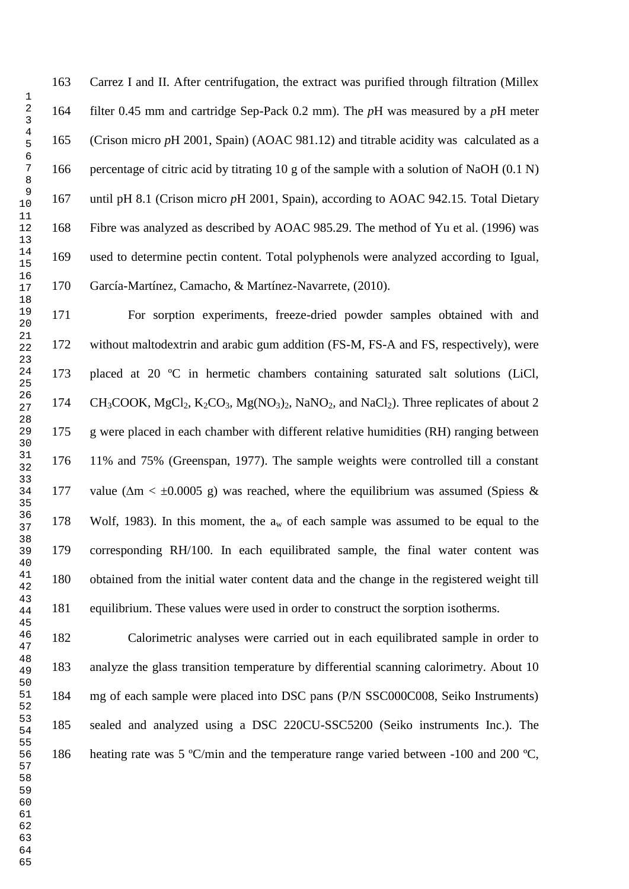Carrez I and II. After centrifugation, the extract was purified through filtration (Millex filter 0.45 mm and cartridge Sep-Pack 0.2 mm). The *p*H was measured by a *p*H meter (Crison micro *p*H 2001, Spain) (AOAC 981.12) and titrable acidity was calculated as a percentage of citric acid by titrating 10 g of the sample with a solution of NaOH (0.1 N) until pH 8.1 (Crison micro *p*H 2001, Spain), according to AOAC 942.15. Total Dietary Fibre was analyzed as described by AOAC 985.29. The method of Yu et al. (1996) was used to determine pectin content. Total polyphenols were analyzed according to Igual, García-Martínez, Camacho, & Martínez-Navarrete, (2010).

 For sorption experiments, freeze-dried powder samples obtained with and without maltodextrin and arabic gum addition (FS-M, FS-A and FS, respectively), were placed at 20 ºC in hermetic chambers containing saturated salt solutions (LiCl, 174 CH<sub>3</sub>COOK, MgCl<sub>2</sub>, K<sub>2</sub>CO<sub>3</sub>, Mg(NO<sub>3</sub>)<sub>2</sub>, NaNO<sub>2</sub>, and NaCl<sub>2</sub>). Three replicates of about 2 g were placed in each chamber with different relative humidities (RH) ranging between 11% and 75% (Greenspan, 1977). The sample weights were controlled till a constant 177 value ( $\Delta m < \pm 0.0005$  g) was reached, where the equilibrium was assumed (Spiess & 178 Wolf, 1983). In this moment, the  $a_w$  of each sample was assumed to be equal to the corresponding RH/100. In each equilibrated sample, the final water content was obtained from the initial water content data and the change in the registered weight till equilibrium. These values were used in order to construct the sorption isotherms.

 Calorimetric analyses were carried out in each equilibrated sample in order to analyze the glass transition temperature by differential scanning calorimetry. About 10 mg of each sample were placed into DSC pans (P/N SSC000C008, Seiko Instruments) sealed and analyzed using a DSC 220CU-SSC5200 (Seiko instruments Inc.). The heating rate was 5 ºC/min and the temperature range varied between -100 and 200 ºC,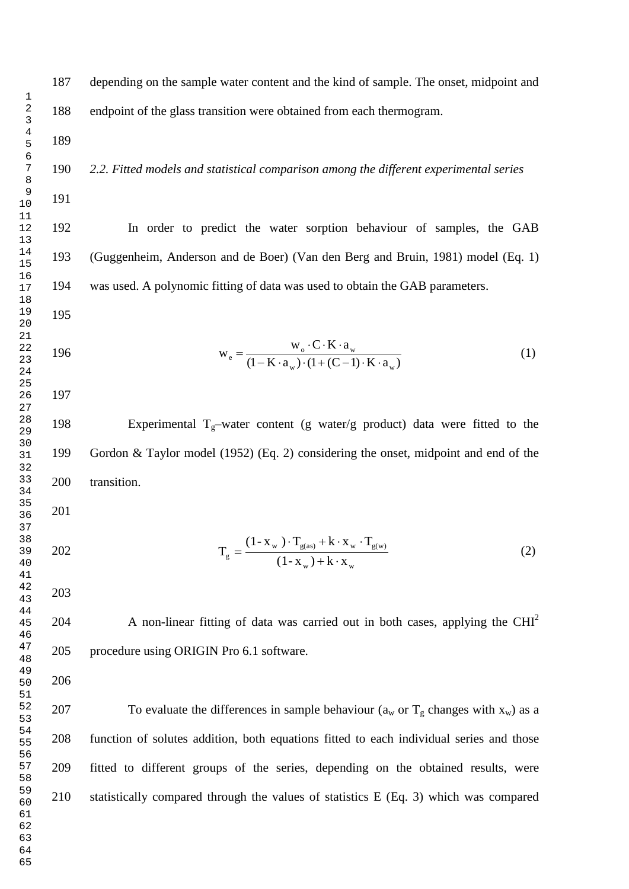depending on the sample water content and the kind of sample. The onset, midpoint and endpoint of the glass transition were obtained from each thermogram.

*2.2. Fitted models and statistical comparison among the different experimental series* 

 In order to predict the water sorption behaviour of samples, the GAB (Guggenheim, Anderson and de Boer) (Van den Berg and Bruin, 1981) model (Eq. 1) was used. A polynomic fitting of data was used to obtain the GAB parameters.

$$
w_e = \frac{w_o \cdot C \cdot K \cdot a_w}{(1 - K \cdot a_w) \cdot (1 + (C - 1) \cdot K \cdot a_w)}
$$
(1)

198 Experimental  $T_g$ -water content (g water/g product) data were fitted to the Gordon & Taylor model (1952) (Eq. 2) considering the onset, midpoint and end of the transition.

- 
- $_{\rm w}$  )  $\pm$  K  $\cdot$  A  $_{\rm w}$  $_{\text{w}}$  )  $_{\text{g}}$  (as)  $_{\text{T}}$  K  $_{\text{g}}$   $_{\text{w}}$   $_{\text{g}}$   $_{\text{g}}$  $g = \frac{1}{(1 - x_w) + k \cdot x}$  $(1 - x_w) \cdot T_{\sigma(\text{as})} + k \cdot x_w \cdot T$ T  $+k \cdot$  $\cdot T_{\sigma(s)} + k \cdot x_w$ .  $=$ (2)
- 

A non-linear fitting of data was carried out in both cases, applying the  $CHI<sup>2</sup>$  procedure using ORIGIN Pro 6.1 software.

207 To evaluate the differences in sample behaviour ( $a_w$  or  $T_g$  changes with  $x_w$ ) as a function of solutes addition, both equations fitted to each individual series and those fitted to different groups of the series, depending on the obtained results, were statistically compared through the values of statistics E (Eq. 3) which was compared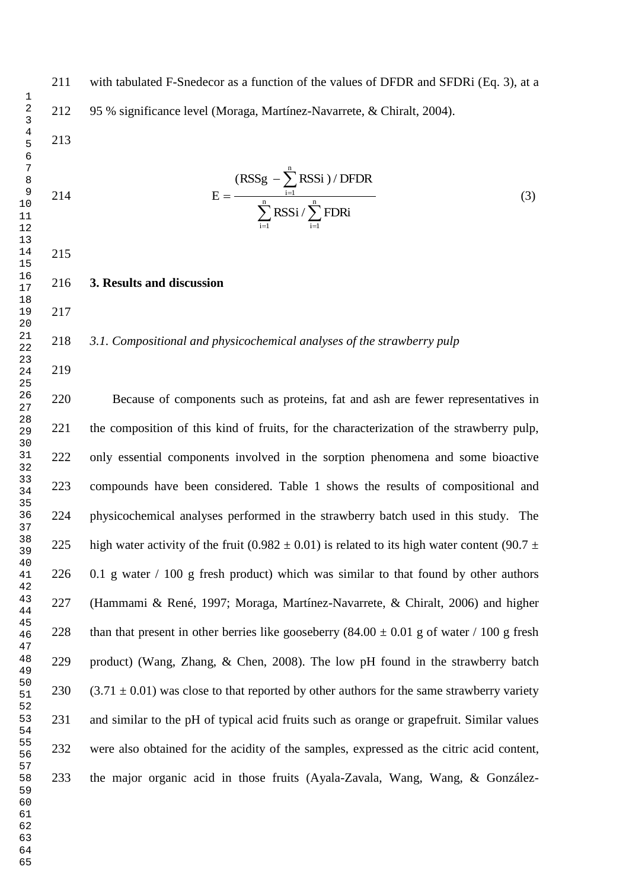$\sum$  RSSi /  $\sum$  $\sum$  $=1$  i=  $\overline{a}$  $\overline{a}$  $=$   $\frac{i=1}{n}$  $i=1$  $i=1$ n  $i=1$  $RSSi / \sum$ FDRi  $(RSSg - \sum RSSi)/DFDR$ E (3)

- **3. Results and discussion**
- 

## *3.1. Compositional and physicochemical analyses of the strawberry pulp*

 Because of components such as proteins, fat and ash are fewer representatives in the composition of this kind of fruits, for the characterization of the strawberry pulp, only essential components involved in the sorption phenomena and some bioactive compounds have been considered. Table 1 shows the results of compositional and physicochemical analyses performed in the strawberry batch used in this study. The 225 high water activity of the fruit (0.982  $\pm$  0.01) is related to its high water content (90.7  $\pm$  0.1 g water / 100 g fresh product) which was similar to that found by other authors (Hammami & René, 1997; Moraga, Martínez-Navarrete, & Chiralt, 2006) and higher 228 than that present in other berries like gooseberry  $(84.00 \pm 0.01 \text{ g} \text{ of water } / 100 \text{ g} \text{ fresh})$  product) (Wang, Zhang, & Chen, 2008). The low pH found in the strawberry batch 230 (3.71  $\pm$  0.01) was close to that reported by other authors for the same strawberry variety and similar to the pH of typical acid fruits such as orange or grapefruit. Similar values were also obtained for the acidity of the samples, expressed as the citric acid content, the major organic acid in those fruits (Ayala-Zavala, Wang, Wang, & González-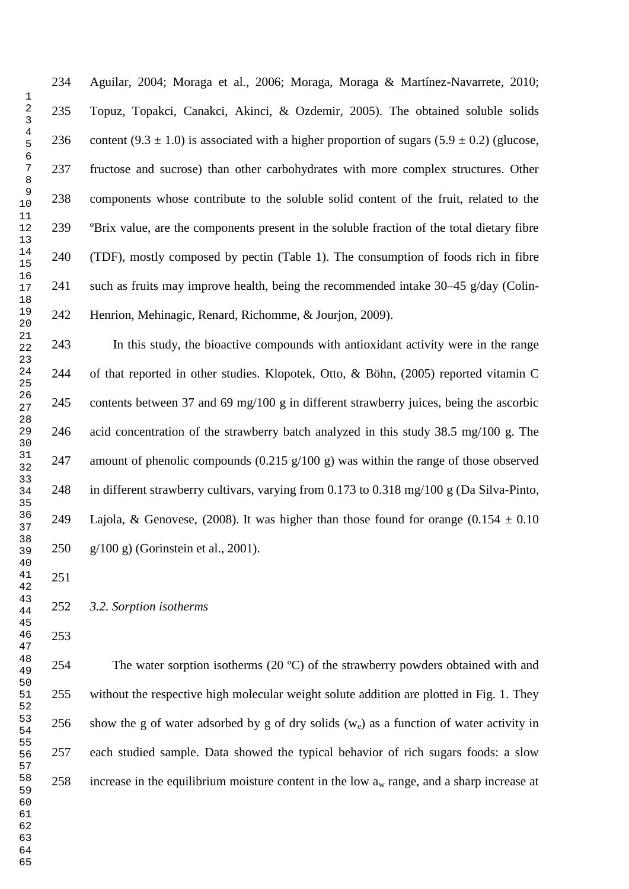Aguilar, 2004; Moraga et al., 2006; Moraga, Moraga & Martínez-Navarrete, 2010; Topuz, Topakci, Canakci, Akinci, & Ozdemir, 2005). The obtained soluble solids 236 content (9.3  $\pm$  1.0) is associated with a higher proportion of sugars (5.9  $\pm$  0.2) (glucose, fructose and sucrose) than other carbohydrates with more complex structures. Other components whose contribute to the soluble solid content of the fruit, related to the ºBrix value, are the components present in the soluble fraction of the total dietary fibre (TDF), mostly composed by pectin (Table 1). The consumption of foods rich in fibre such as fruits may improve health, being the recommended intake 30–45 g/day (Colin-Henrion, Mehinagic, Renard, Richomme, & Jourjon, 2009).

 In this study, the bioactive compounds with antioxidant activity were in the range of that reported in other studies. Klopotek, Otto, & Böhn, (2005) reported vitamin C contents between 37 and 69 mg/100 g in different strawberry juices, being the ascorbic acid concentration of the strawberry batch analyzed in this study 38.5 mg/100 g. The amount of phenolic compounds (0.215 g/100 g) was within the range of those observed in different strawberry cultivars, varying from 0.173 to 0.318 mg/100 g (Da Silva-Pinto, 249 Lajola, & Genovese, (2008). It was higher than those found for orange (0.154  $\pm$  0.10 g/100 g) (Gorinstein et al., 2001).

# *3.2. Sorption isotherms*

 The water sorption isotherms (20 ºC) of the strawberry powders obtained with and without the respective high molecular weight solute addition are plotted in Fig. 1. They 256 show the g of water adsorbed by g of dry solids  $(w_e)$  as a function of water activity in each studied sample. Data showed the typical behavior of rich sugars foods: a slow 258 increase in the equilibrium moisture content in the low  $a_w$  range, and a sharp increase at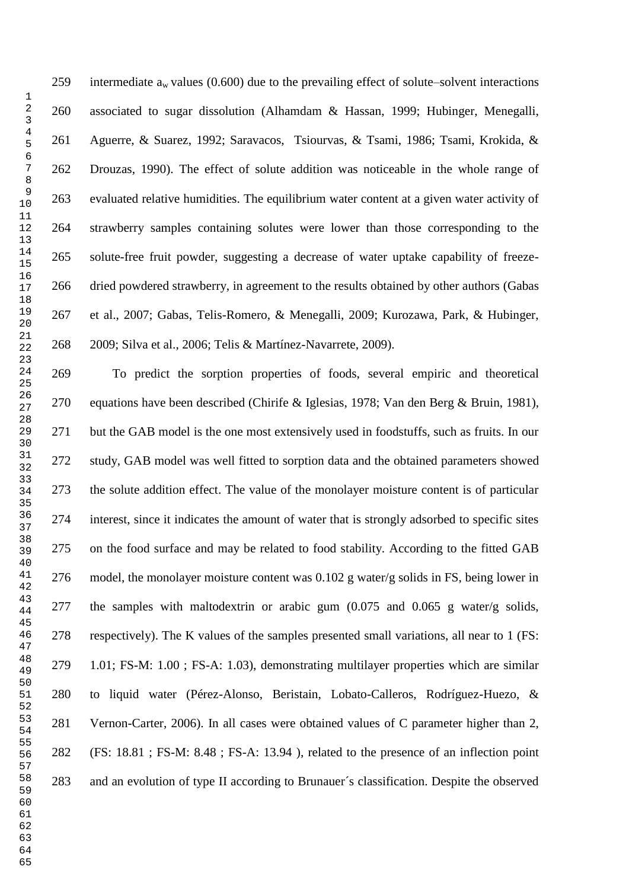259 intermediate  $a_w$  values (0.600) due to the prevailing effect of solute–solvent interactions associated to sugar dissolution (Alhamdam & Hassan, 1999; Hubinger, Menegalli, Aguerre, & Suarez, 1992; Saravacos, Tsiourvas, & Tsami, 1986; Tsami, Krokida, & Drouzas, 1990). The effect of solute addition was noticeable in the whole range of evaluated relative humidities. The equilibrium water content at a given water activity of strawberry samples containing solutes were lower than those corresponding to the solute-free fruit powder, suggesting a decrease of water uptake capability of freeze- dried powdered strawberry, in agreement to the results obtained by other authors (Gabas et al., 2007; Gabas, Telis-Romero, & Menegalli, 2009; Kurozawa, Park, & Hubinger, 2009; Silva et al., 2006; Telis & Martínez-Navarrete, 2009).

 To predict the sorption properties of foods, several empiric and theoretical equations have been described (Chirife & Iglesias, 1978; Van den Berg & Bruin, 1981), but the GAB model is the one most extensively used in foodstuffs, such as fruits. In our study, GAB model was well fitted to sorption data and the obtained parameters showed the solute addition effect. The value of the monolayer moisture content is of particular interest, since it indicates the amount of water that is strongly adsorbed to specific sites on the food surface and may be related to food stability. According to the fitted GAB model, the monolayer moisture content was 0.102 g water/g solids in FS, being lower in the samples with maltodextrin or arabic gum (0.075 and 0.065 g water/g solids, respectively). The K values of the samples presented small variations, all near to 1 (FS: 1.01; FS-M: 1.00 ; FS-A: 1.03), demonstrating multilayer properties which are similar to liquid water (Pérez-Alonso, Beristain, Lobato-Calleros, Rodríguez-Huezo, & Vernon-Carter, 2006). In all cases were obtained values of C parameter higher than 2, (FS: 18.81 ; FS-M: 8.48 ; FS-A: 13.94 ), related to the presence of an inflection point and an evolution of type II according to Brunauer´s classification. Despite the observed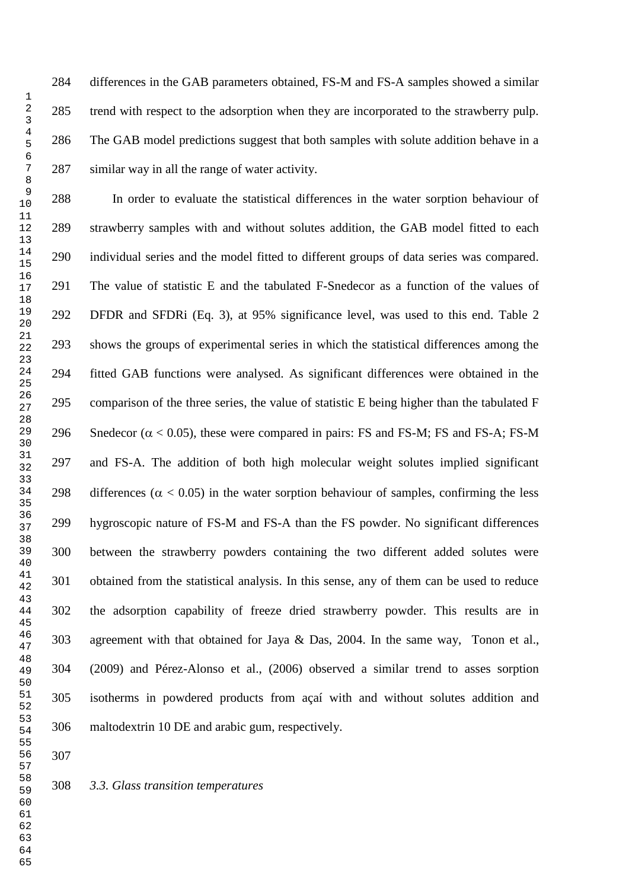differences in the GAB parameters obtained, FS-M and FS-A samples showed a similar trend with respect to the adsorption when they are incorporated to the strawberry pulp. The GAB model predictions suggest that both samples with solute addition behave in a similar way in all the range of water activity.

 In order to evaluate the statistical differences in the water sorption behaviour of strawberry samples with and without solutes addition, the GAB model fitted to each individual series and the model fitted to different groups of data series was compared. The value of statistic E and the tabulated F-Snedecor as a function of the values of DFDR and SFDRi (Eq. 3), at 95% significance level, was used to this end. Table 2 shows the groups of experimental series in which the statistical differences among the fitted GAB functions were analysed. As significant differences were obtained in the comparison of the three series, the value of statistic E being higher than the tabulated F 296 Snedecor  $(\alpha < 0.05)$ , these were compared in pairs: FS and FS-M; FS and FS-A; FS-M and FS-A. The addition of both high molecular weight solutes implied significant 298 differences ( $\alpha$  < 0.05) in the water sorption behaviour of samples, confirming the less hygroscopic nature of FS-M and FS-A than the FS powder. No significant differences between the strawberry powders containing the two different added solutes were obtained from the statistical analysis. In this sense, any of them can be used to reduce the adsorption capability of freeze dried strawberry powder. This results are in agreement with that obtained for Jaya & Das, 2004. In the same way, Tonon et al., (2009) and Pérez-Alonso et al., (2006) observed a similar trend to asses sorption isotherms in powdered products from açaí with and without solutes addition and maltodextrin 10 DE and arabic gum, respectively.

*3.3. Glass transition temperatures*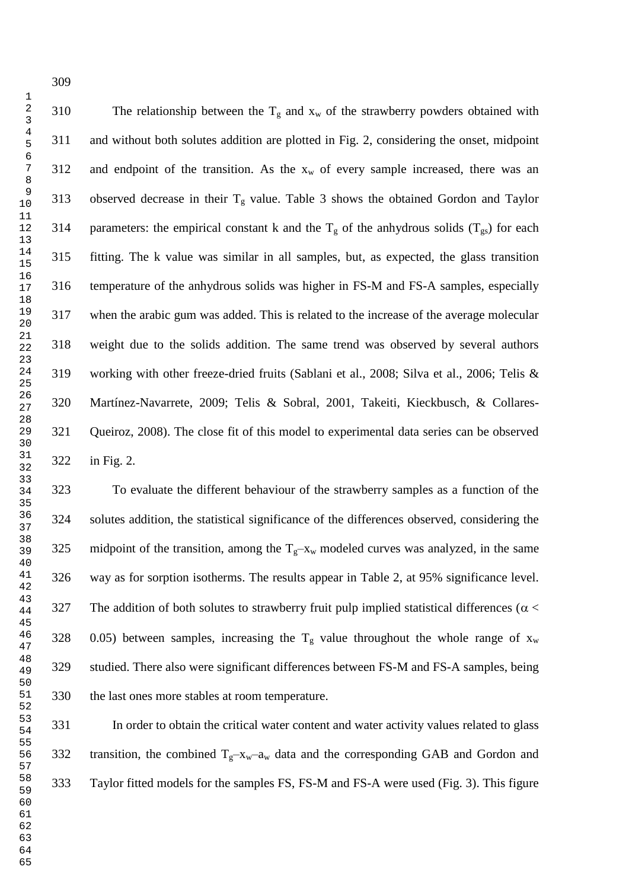310 The relationship between the  $T_g$  and  $x_w$  of the strawberry powders obtained with and without both solutes addition are plotted in Fig. 2, considering the onset, midpoint 312 and endpoint of the transition. As the  $x_w$  of every sample increased, there was an 313 observed decrease in their  $T_g$  value. Table 3 shows the obtained Gordon and Taylor 314 parameters: the empirical constant k and the  $T_g$  of the anhydrous solids  $(T_{gs})$  for each fitting. The k value was similar in all samples, but, as expected, the glass transition temperature of the anhydrous solids was higher in FS-M and FS-A samples, especially when the arabic gum was added. This is related to the increase of the average molecular weight due to the solids addition. The same trend was observed by several authors working with other freeze-dried fruits (Sablani et al., 2008; Silva et al., 2006; Telis & Martínez-Navarrete, 2009; Telis & Sobral, 2001, Takeiti, Kieckbusch, & Collares- Queiroz, 2008). The close fit of this model to experimental data series can be observed in Fig. 2.

 To evaluate the different behaviour of the strawberry samples as a function of the solutes addition, the statistical significance of the differences observed, considering the 325 midpoint of the transition, among the  $T_g - x_w$  modeled curves was analyzed, in the same way as for sorption isotherms. The results appear in Table 2, at 95% significance level. 327 The addition of both solutes to strawberry fruit pulp implied statistical differences ( $\alpha$  < 328 0.05) between samples, increasing the  $T_g$  value throughout the whole range of  $x_w$  studied. There also were significant differences between FS-M and FS-A samples, being the last ones more stables at room temperature.

 In order to obtain the critical water content and water activity values related to glass 332 transition, the combined  $T_g - x_w - a_w$  data and the corresponding GAB and Gordon and Taylor fitted models for the samples FS, FS-M and FS-A were used (Fig. 3). This figure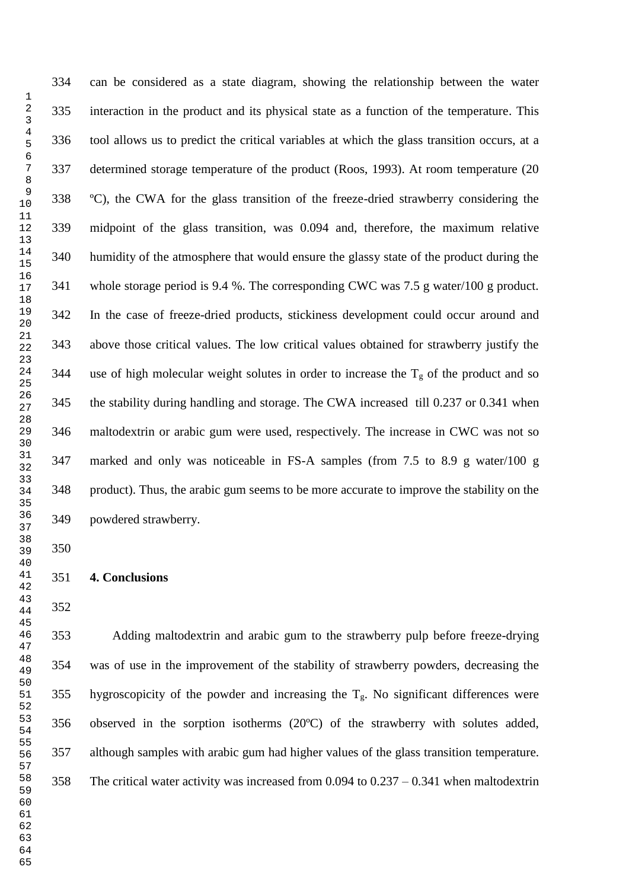can be considered as a state diagram, showing the relationship between the water interaction in the product and its physical state as a function of the temperature. This tool allows us to predict the critical variables at which the glass transition occurs, at a determined storage temperature of the product (Roos, 1993). At room temperature (20 ºC), the CWA for the glass transition of the freeze-dried strawberry considering the midpoint of the glass transition, was 0.094 and, therefore, the maximum relative humidity of the atmosphere that would ensure the glassy state of the product during the whole storage period is 9.4 %. The corresponding CWC was 7.5 g water/100 g product. In the case of freeze-dried products, stickiness development could occur around and above those critical values. The low critical values obtained for strawberry justify the 344 use of high molecular weight solutes in order to increase the  $T_g$  of the product and so the stability during handling and storage. The CWA increased till 0.237 or 0.341 when maltodextrin or arabic gum were used, respectively. The increase in CWC was not so marked and only was noticeable in FS-A samples (from 7.5 to 8.9 g water/100 g product). Thus, the arabic gum seems to be more accurate to improve the stability on the powdered strawberry.

**4. Conclusions** 

 Adding maltodextrin and arabic gum to the strawberry pulp before freeze-drying was of use in the improvement of the stability of strawberry powders, decreasing the 355 hygroscopicity of the powder and increasing the  $T_g$ . No significant differences were observed in the sorption isotherms (20ºC) of the strawberry with solutes added, although samples with arabic gum had higher values of the glass transition temperature. The critical water activity was increased from 0.094 to 0.237 – 0.341 when maltodextrin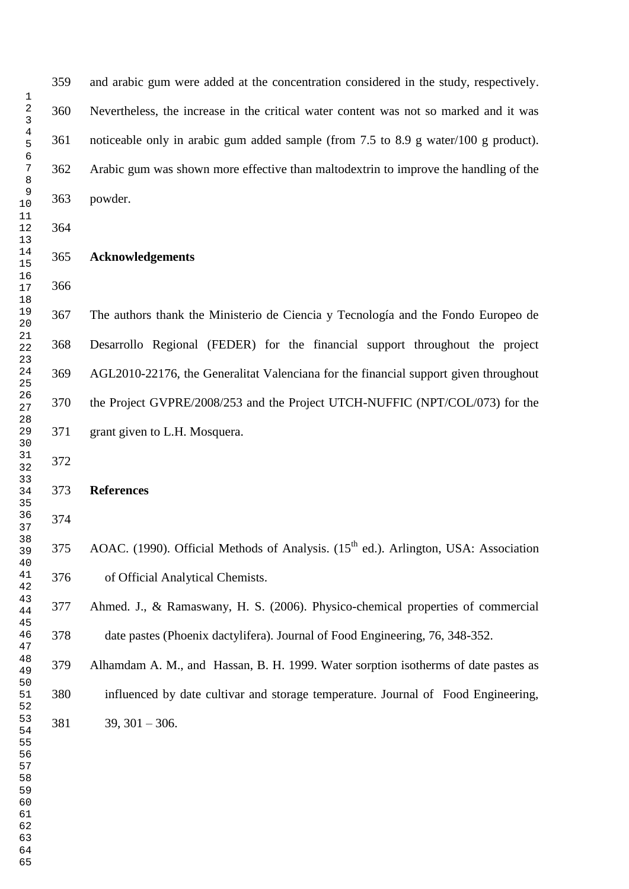and arabic gum were added at the concentration considered in the study, respectively. Nevertheless, the increase in the critical water content was not so marked and it was noticeable only in arabic gum added sample (from 7.5 to 8.9 g water/100 g product). Arabic gum was shown more effective than maltodextrin to improve the handling of the powder.

#### **Acknowledgements**

 The authors thank the Ministerio de Ciencia y Tecnología and the Fondo Europeo de Desarrollo Regional (FEDER) for the financial support throughout the project AGL2010-22176, the Generalitat Valenciana for the financial support given throughout the Project GVPRE/2008/253 and the Project UTCH-NUFFIC (NPT/COL/073) for the grant given to L.H. Mosquera.

**References**

375 AOAC. (1990). Official Methods of Analysis.  $(15<sup>th</sup>$  ed.). Arlington, USA: Association of Official Analytical Chemists.

 Ahmed. J., & Ramaswany, H. S. (2006). Physico-chemical properties of commercial date pastes (Phoenix dactylifera). Journal of Food Engineering, 76, 348-352.

Alhamdam A. M., and Hassan, B. H. 1999. Water sorption isotherms of date pastes as

 influenced by date cultivar and storage temperature. Journal of Food Engineering,  $39, 301 - 306.$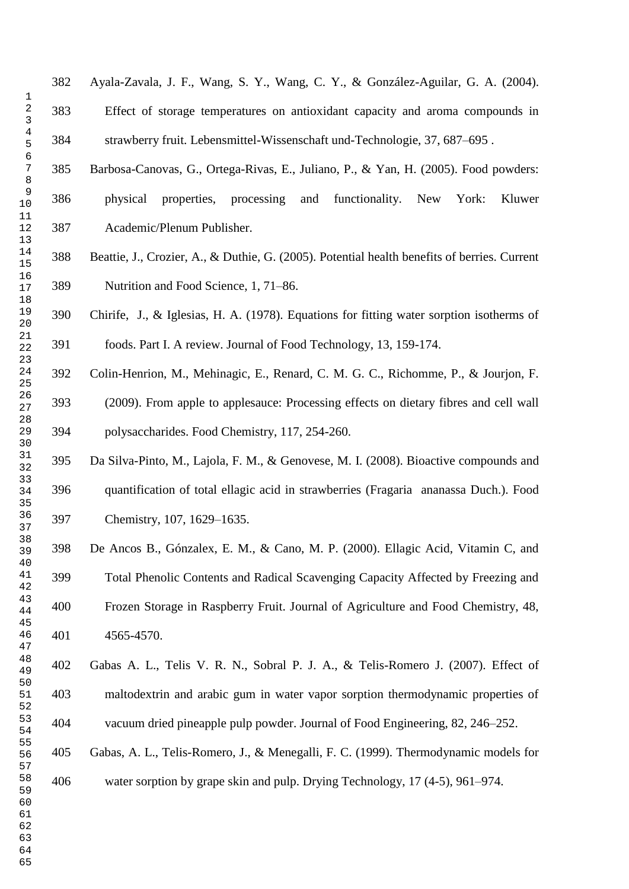Ayala-Zavala, J. F., Wang, S. Y., Wang, C. Y., & González-Aguilar, G. A. (2004). Effect of storage temperatures on antioxidant capacity and aroma compounds in strawberry fruit. Lebensmittel-Wissenschaft und-Technologie, 37, 687–695 .

 Barbosa-Canovas, G., Ortega-Rivas, E., Juliano, P., & Yan, H. (2005). Food powders: physical properties, processing and functionality. New York: Kluwer Academic/Plenum Publisher.

 Beattie, J., Crozier, A., & Duthie, G. (2005). Potential health benefits of berries. Current Nutrition and Food Science, 1, 71–86.

 Chirife, J., & Iglesias, H. A. (1978). Equations for fitting water sorption isotherms of foods. Part I. A review. Journal of Food Technology, 13, 159-174.

Colin-Henrion, M., Mehinagic, E., Renard, C. M. G. C., Richomme, P., & Jourjon, F.

 (2009). From apple to applesauce: Processing effects on dietary fibres and cell wall polysaccharides. Food Chemistry, 117, 254-260.

 Da Silva-Pinto, M., Lajola, F. M., & Genovese, M. I. (2008). Bioactive compounds and quantification of total ellagic acid in strawberries (Fragaria ananassa Duch.). Food Chemistry, 107, 1629–1635.

 De Ancos B., Gónzalex, E. M., & Cano, M. P. (2000). Ellagic Acid, Vitamin C, and Total Phenolic Contents and Radical Scavenging Capacity Affected by Freezing and Frozen Storage in Raspberry Fruit. Journal of Agriculture and Food Chemistry, 48, 4565-4570.

 Gabas A. L., Telis V. R. N., Sobral P. J. A., & Telis-Romero J. (2007). Effect of maltodextrin and arabic gum in water vapor sorption thermodynamic properties of vacuum dried pineapple pulp powder. Journal of Food Engineering, 82, 246–252.

Gabas, A. L., Telis-Romero, J., & Menegalli, F. C. (1999). Thermodynamic models for

water sorption by grape skin and pulp. Drying Technology, 17 (4-5), 961–974.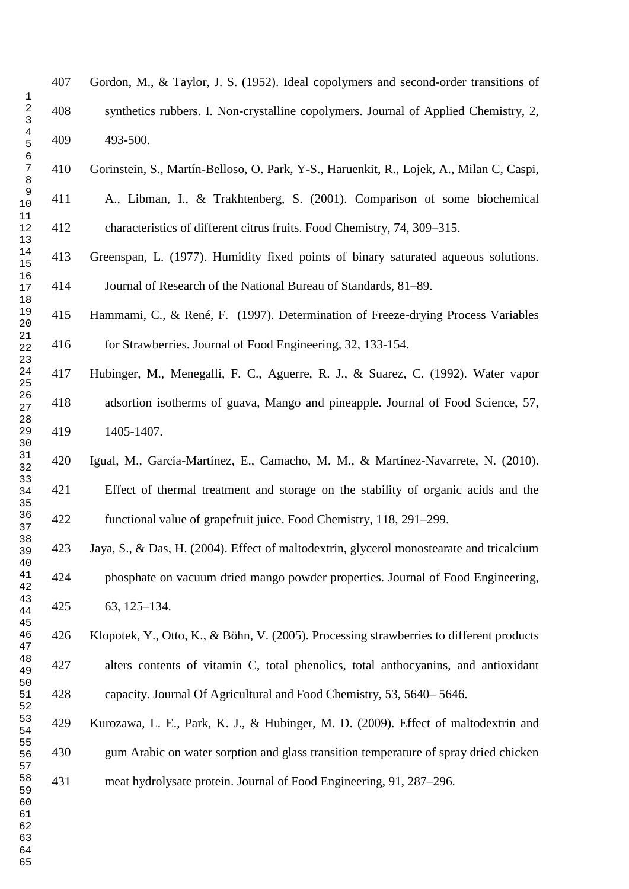|                                  | 407 | Gordon, M., & Taylor, J. S. (1952). Ideal copolymers and second-order transitions of     |
|----------------------------------|-----|------------------------------------------------------------------------------------------|
| 1<br>$\sqrt{2}$<br>3             | 408 | synthetics rubbers. I. Non-crystalline copolymers. Journal of Applied Chemistry, 2,      |
| $\overline{4}$<br>5<br>6         | 409 | 493-500.                                                                                 |
| 7<br>8                           | 410 | Gorinstein, S., Martín-Belloso, O. Park, Y-S., Haruenkit, R., Lojek, A., Milan C, Caspi, |
| $\mathsf 9$<br>10                | 411 | A., Libman, I., & Trakhtenberg, S. (2001). Comparison of some biochemical                |
| 11<br>12<br>13                   | 412 | characteristics of different citrus fruits. Food Chemistry, 74, 309–315.                 |
| 14<br>15                         | 413 | Greenspan, L. (1977). Humidity fixed points of binary saturated aqueous solutions.       |
| 16<br>17<br>18                   | 414 | Journal of Research of the National Bureau of Standards, 81–89.                          |
| 19<br>20                         | 415 | Hammami, C., & René, F. (1997). Determination of Freeze-drying Process Variables         |
| 21<br>22<br>23                   | 416 | for Strawberries. Journal of Food Engineering, 32, 133-154.                              |
| 24<br>25                         | 417 | Hubinger, M., Menegalli, F. C., Aguerre, R. J., & Suarez, C. (1992). Water vapor         |
| 26<br>27<br>28                   | 418 | adsortion isotherms of guava, Mango and pineapple. Journal of Food Science, 57,          |
| 29<br>30                         | 419 | 1405-1407.                                                                               |
| 31<br>32                         | 420 | Igual, M., García-Martínez, E., Camacho, M. M., & Martínez-Navarrete, N. (2010).         |
| 33<br>34<br>35                   | 421 | Effect of thermal treatment and storage on the stability of organic acids and the        |
| 36<br>37                         | 422 | functional value of grapefruit juice. Food Chemistry, 118, 291–299.                      |
| 38<br>39<br>40                   | 423 | Jaya, S., & Das, H. (2004). Effect of maltodextrin, glycerol monostearate and tricalcium |
| 41<br>42                         | 424 | phosphate on vacuum dried mango powder properties. Journal of Food Engineering,          |
| 43<br>44<br>45                   | 425 | 63, 125-134.                                                                             |
| 46<br>47                         | 426 | Klopotek, Y., Otto, K., & Böhn, V. (2005). Processing strawberries to different products |
| 48<br>49<br>50                   | 427 | alters contents of vitamin C, total phenolics, total anthocyanins, and antioxidant       |
| 51<br>52                         | 428 | capacity. Journal Of Agricultural and Food Chemistry, 53, 5640–5646.                     |
| 53<br>54                         | 429 | Kurozawa, L. E., Park, K. J., & Hubinger, M. D. (2009). Effect of maltodextrin and       |
| 55<br>56<br>57                   | 430 | gum Arabic on water sorption and glass transition temperature of spray dried chicken     |
| 58<br>59<br>60<br>61<br>62<br>63 | 431 | meat hydrolysate protein. Journal of Food Engineering, 91, 287–296.                      |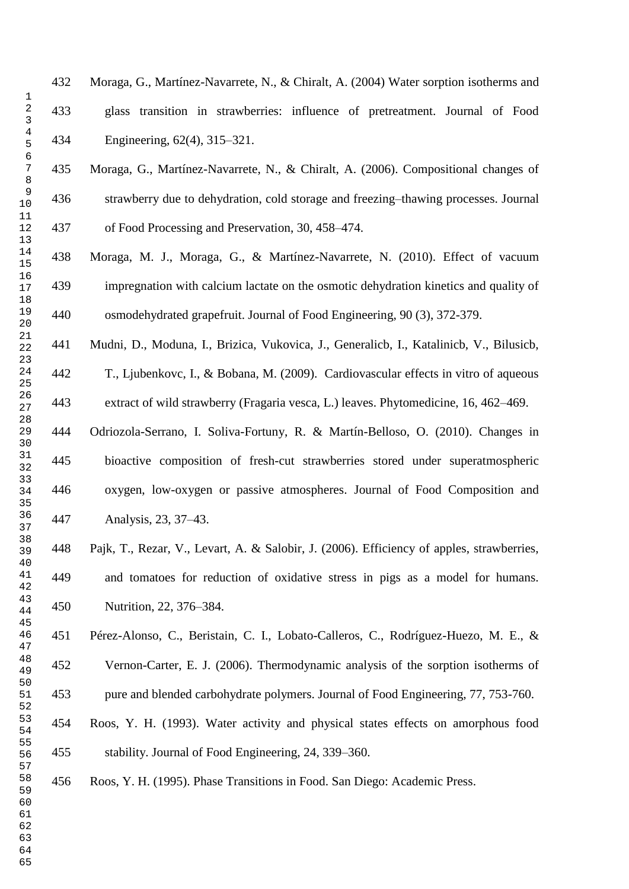Moraga, G., Martínez-Navarrete, N., & Chiralt, A. (2004) Water sorption isotherms and glass transition in strawberries: influence of pretreatment. Journal of Food Engineering, 62(4), 315–321.

 Moraga, G., Martínez-Navarrete, N., & Chiralt, A. (2006). Compositional changes of strawberry due to dehydration, cold storage and freezing–thawing processes. Journal of Food Processing and Preservation, 30, 458–474.

 Moraga, M. J., Moraga, G., & Martínez-Navarrete, N. (2010). Effect of vacuum impregnation with calcium lactate on the osmotic dehydration kinetics and quality of osmodehydrated grapefruit. Journal of Food Engineering, 90 (3), 372-379.

 Mudni, D., Moduna, I., Brizica, Vukovica, J., Generalicb, I., Katalinicb, V., Bilusicb, T., Ljubenkovc, I., & Bobana, M. (2009). Cardiovascular effects in vitro of aqueous extract of wild strawberry (Fragaria vesca, L.) leaves. Phytomedicine, 16, 462–469.

 Odriozola-Serrano, I. Soliva-Fortuny, R. & Martín-Belloso, O. (2010). Changes in bioactive composition of fresh-cut strawberries stored under superatmospheric oxygen, low-oxygen or passive atmospheres. Journal of Food Composition and Analysis, 23, 37–43.

 Pajk, T., Rezar, V., Levart, A. & Salobir, J. (2006). Efficiency of apples, strawberries, and tomatoes for reduction of oxidative stress in pigs as a model for humans. Nutrition, 22, 376–384.

 Pérez-Alonso, C., Beristain, C. I., Lobato-Calleros, C., Rodríguez-Huezo, M. E., & Vernon-Carter, E. J. (2006). Thermodynamic analysis of the sorption isotherms of pure and blended carbohydrate polymers. Journal of Food Engineering, 77, 753-760.

 Roos, Y. H. (1993). Water activity and physical states effects on amorphous food stability. Journal of Food Engineering, 24, 339–360.

Roos, Y. H. (1995). Phase Transitions in Food. San Diego: Academic Press.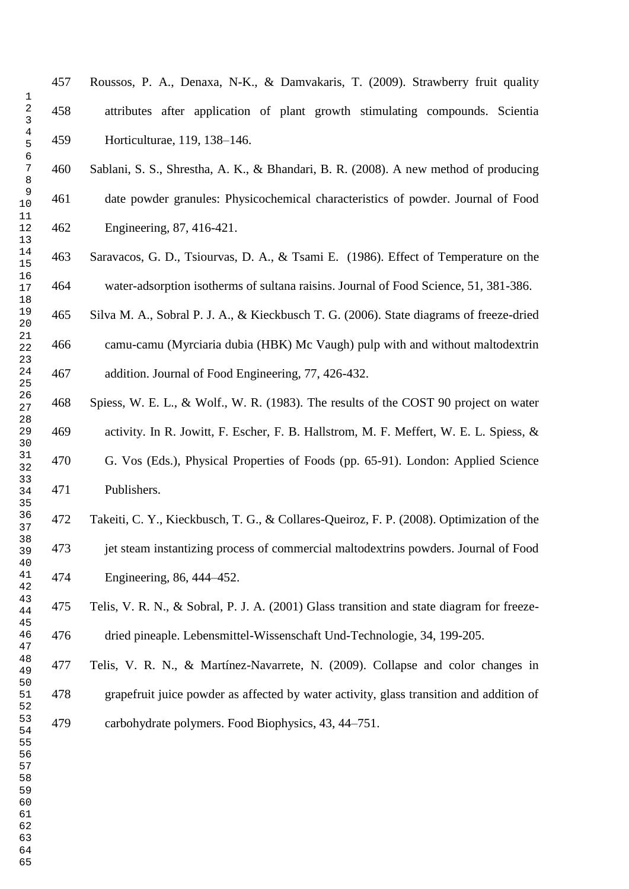Roussos, P. A., Denaxa, N-K., & Damvakaris, T. (2009). Strawberry fruit quality attributes after application of plant growth stimulating compounds. Scientia Horticulturae, 119, 138–146. Sablani, S. S., Shrestha, A. K., & Bhandari, B. R. (2008). A new method of producing date powder granules: Physicochemical characteristics of powder. Journal of Food

Engineering, 87, 416-421.

 Saravacos, G. D., Tsiourvas, D. A., & Tsami E. (1986). Effect of Temperature on the water-adsorption isotherms of sultana raisins. Journal of Food Science, 51, 381-386.

 Silva M. A., Sobral P. J. A., & Kieckbusch T. G. (2006). State diagrams of freeze-dried camu-camu (Myrciaria dubia (HBK) Mc Vaugh) pulp with and without maltodextrin addition. Journal of Food Engineering, 77, 426-432.

 Spiess, W. E. L., & Wolf., W. R. (1983). The results of the COST 90 project on water activity. In R. Jowitt, F. Escher, F. B. Hallstrom, M. F. Meffert, W. E. L. Spiess, & G. Vos (Eds.), Physical Properties of Foods (pp. 65-91). London: Applied Science Publishers.

 Takeiti, C. Y., Kieckbusch, T. G., & Collares-Queiroz, F. P. (2008). Optimization of the jet steam instantizing process of commercial maltodextrins powders. Journal of Food Engineering, 86, 444–452.

 Telis, V. R. N., & Sobral, P. J. A. (2001) Glass transition and state diagram for freeze-dried pineaple. Lebensmittel-Wissenschaft Und-Technologie, 34, 199-205.

 Telis, V. R. N., & Martínez-Navarrete, N. (2009). Collapse and color changes in grapefruit juice powder as affected by water activity, glass transition and addition of carbohydrate polymers. Food Biophysics, 43, 44–751.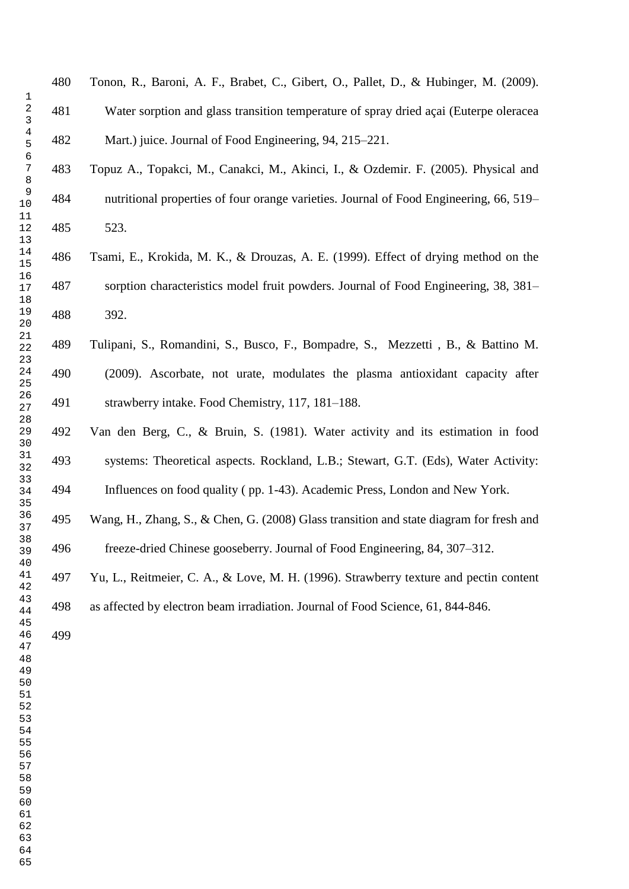| 480 | Tonon, R., Baroni, A. F., Brabet, C., Gibert, O., Pallet, D., & Hubinger, M. (2009).   |
|-----|----------------------------------------------------------------------------------------|
| 481 | Water sorption and glass transition temperature of spray dried acai (Euterpe oleracea) |
| 482 | Mart.) juice. Journal of Food Engineering, 94, 215–221.                                |

 Topuz A., Topakci, M., Canakci, M., Akinci, I., & Ozdemir. F. (2005). Physical and nutritional properties of four orange varieties. Journal of Food Engineering, 66, 519– 523.

 Tsami, E., Krokida, M. K., & Drouzas, A. E. (1999). Effect of drying method on the sorption characteristics model fruit powders. Journal of Food Engineering, 38, 381– 392.

- Tulipani, S., Romandini, S., Busco, F., Bompadre, S., Mezzetti , B., & Battino M. (2009). Ascorbate, not urate, modulates the plasma antioxidant capacity after strawberry intake. Food Chemistry, 117, 181–188.
- Van den Berg, C., & Bruin, S. (1981). Water activity and its estimation in food systems: Theoretical aspects. Rockland, L.B.; Stewart, G.T. (Eds), Water Activity: Influences on food quality ( pp. 1-43). Academic Press, London and New York.

Wang, H., Zhang, S., & Chen, G. (2008) Glass transition and state diagram for fresh and

freeze-dried Chinese gooseberry. Journal of Food Engineering, 84, 307–312.

Yu, L., Reitmeier, C. A., & Love, M. H. (1996). Strawberry texture and pectin content

as affected by electron beam irradiation. Journal of Food Science, 61, 844-846.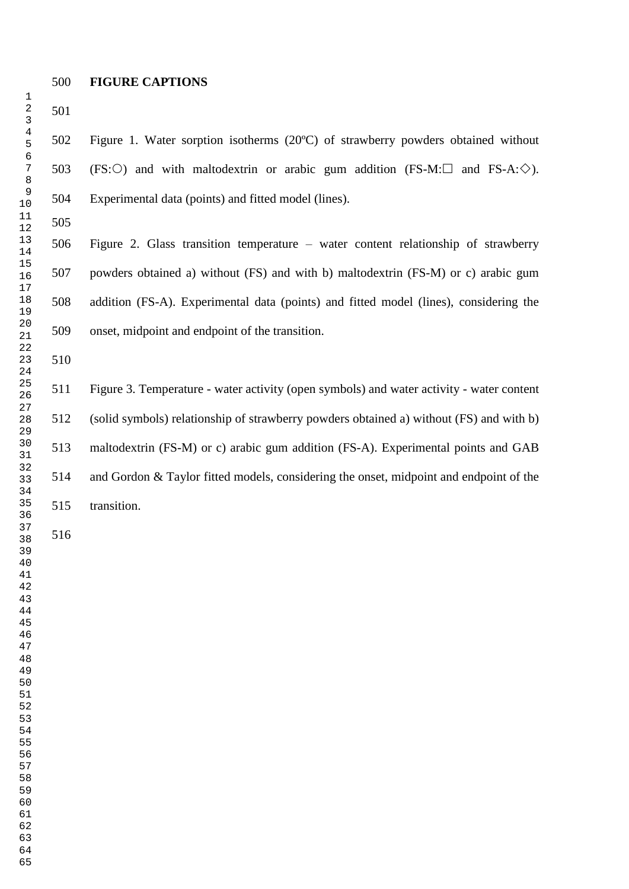### **FIGURE CAPTIONS**

 Figure 1. Water sorption isotherms (20ºC) of strawberry powders obtained without 503 (FS:  $\bigcirc$ ) and with maltodextrin or arabic gum addition (FS-M:  $\Box$  and FS-A:  $\Diamond$ ). Experimental data (points) and fitted model (lines).

 Figure 2. Glass transition temperature – water content relationship of strawberry powders obtained a) without (FS) and with b) maltodextrin (FS-M) or c) arabic gum addition (FS-A). Experimental data (points) and fitted model (lines), considering the onset, midpoint and endpoint of the transition.

 Figure 3. Temperature - water activity (open symbols) and water activity - water content (solid symbols) relationship of strawberry powders obtained a) without (FS) and with b) maltodextrin (FS-M) or c) arabic gum addition (FS-A). Experimental points and GAB and Gordon & Taylor fitted models, considering the onset, midpoint and endpoint of the transition.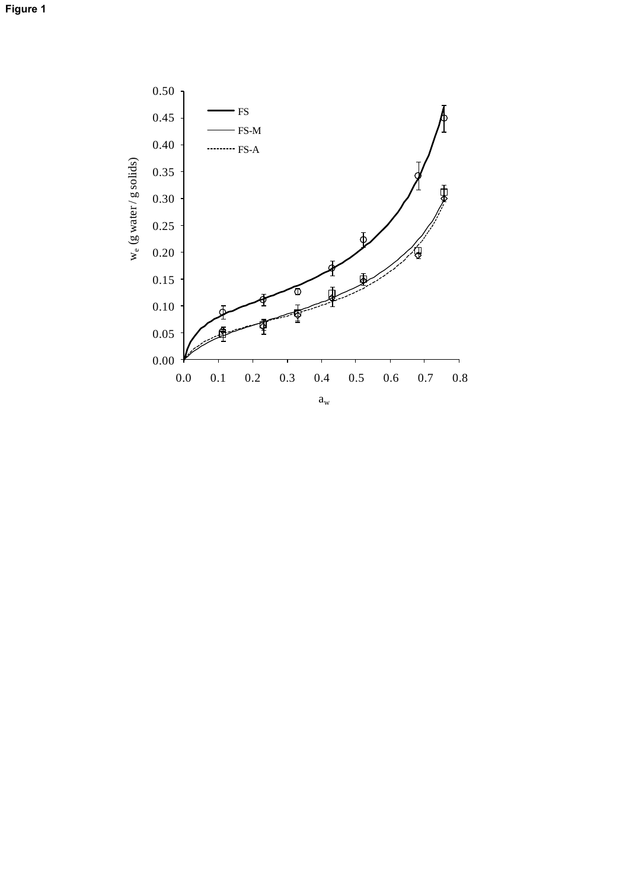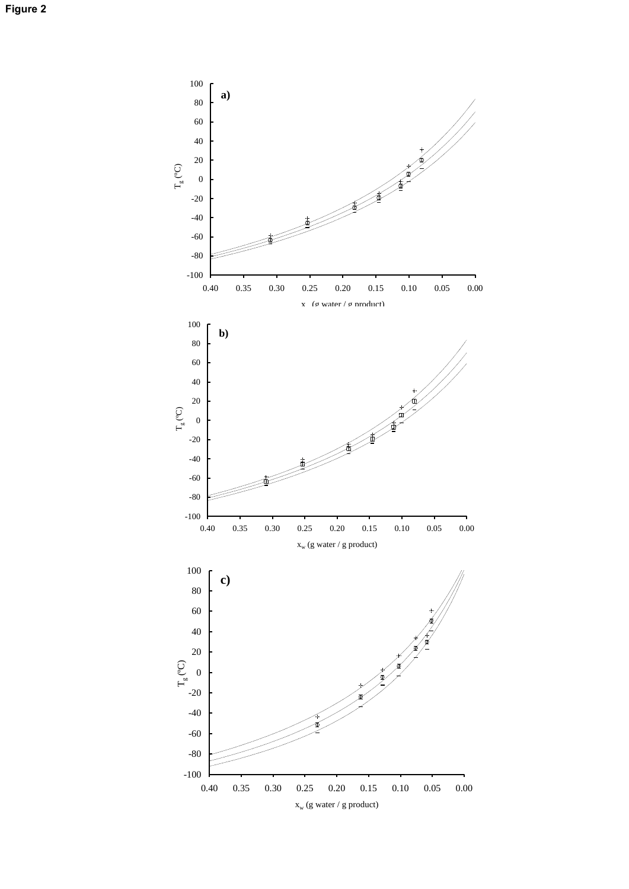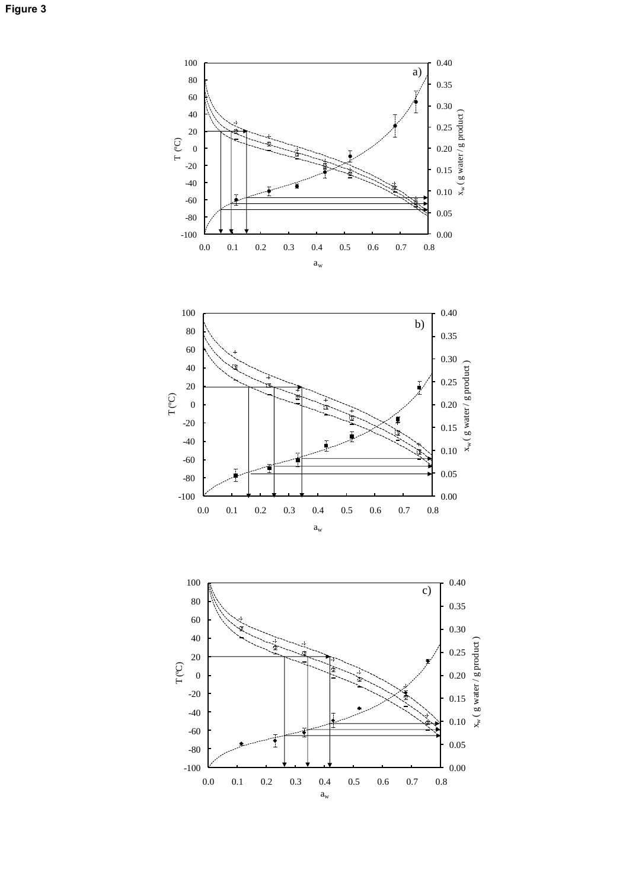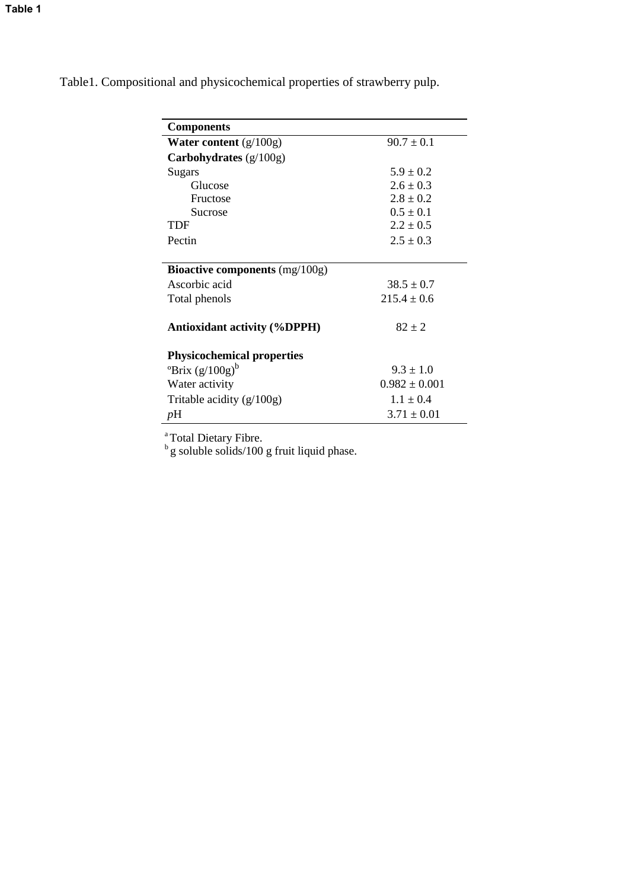| <b>Components</b>                                       |                   |  |  |  |  |  |  |
|---------------------------------------------------------|-------------------|--|--|--|--|--|--|
| <b>Water content</b> $(g/100g)$                         | $90.7 \pm 0.1$    |  |  |  |  |  |  |
| Carbohydrates $(g/100g)$                                |                   |  |  |  |  |  |  |
| Sugars                                                  | $5.9 \pm 0.2$     |  |  |  |  |  |  |
| Glucose                                                 | $2.6 \pm 0.3$     |  |  |  |  |  |  |
| Fructose                                                | $2.8 \pm 0.2$     |  |  |  |  |  |  |
| Sucrose                                                 | $0.5 \pm 0.1$     |  |  |  |  |  |  |
| TDF                                                     | $2.2 \pm 0.5$     |  |  |  |  |  |  |
| Pectin                                                  | $2.5 \pm 0.3$     |  |  |  |  |  |  |
|                                                         |                   |  |  |  |  |  |  |
| <b>Bioactive components</b> $(mg/100g)$                 |                   |  |  |  |  |  |  |
| Ascorbic acid                                           | $38.5 \pm 0.7$    |  |  |  |  |  |  |
| Total phenols                                           | $215.4 \pm 0.6$   |  |  |  |  |  |  |
| <b>Antioxidant activity (%DPPH)</b>                     | $82 \pm 2$        |  |  |  |  |  |  |
| <b>Physicochemical properties</b>                       |                   |  |  |  |  |  |  |
| $\mathrm{PBrix}\left(\mathrm{g}/100\mathrm{g}\right)^b$ | $9.3 \pm 1.0$     |  |  |  |  |  |  |
| Water activity                                          | $0.982 \pm 0.001$ |  |  |  |  |  |  |
| Tritable acidity $(g/100g)$                             | $1.1 \pm 0.4$     |  |  |  |  |  |  |
| pH                                                      | $3.71 \pm 0.01$   |  |  |  |  |  |  |

Table1. Compositional and physicochemical properties of strawberry pulp.

<sup>a</sup> Total Dietary Fibre.<br><sup>b</sup> g soluble solids/100 g fruit liquid phase.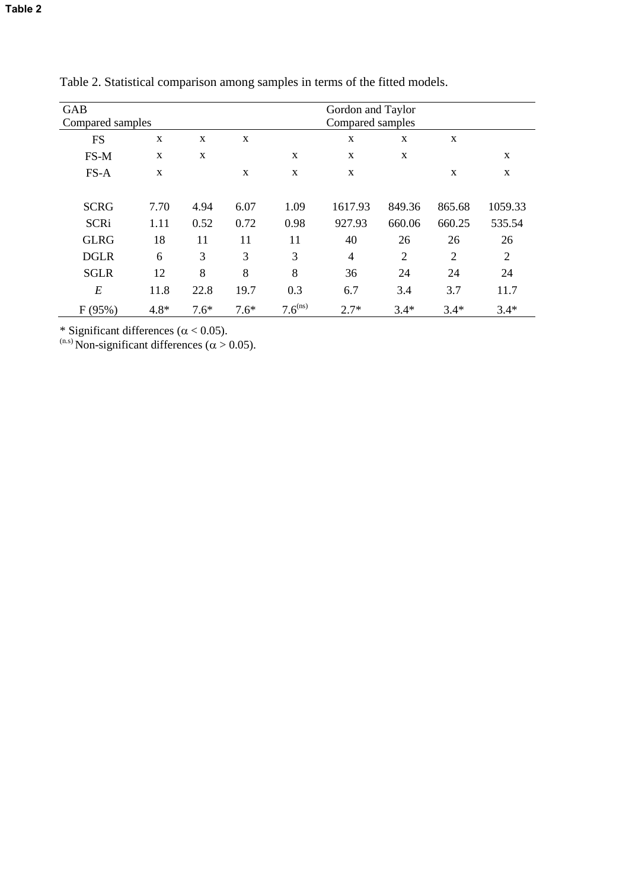| <b>GAB</b>       |        |        | Gordon and Taylor |              |                |                |                |                |
|------------------|--------|--------|-------------------|--------------|----------------|----------------|----------------|----------------|
| Compared samples |        |        | Compared samples  |              |                |                |                |                |
| <b>FS</b>        | X      | X      | X                 |              | $\mathbf X$    | X              | X              |                |
| FS-M             | X      | X      |                   | X            | $\mathbf X$    | X              |                | $\mathbf X$    |
| FS-A             | X      |        | X                 | X            | X              |                | X              | X              |
| <b>SCRG</b>      | 7.70   | 4.94   | 6.07              | 1.09         | 1617.93        | 849.36         | 865.68         | 1059.33        |
| <b>SCRi</b>      | 1.11   | 0.52   | 0.72              | 0.98         | 927.93         | 660.06         | 660.25         | 535.54         |
| <b>GLRG</b>      | 18     | 11     | 11                | 11           | 40             | 26             | 26             | 26             |
| <b>DGLR</b>      | 6      | 3      | 3                 | 3            | $\overline{4}$ | $\overline{2}$ | $\overline{2}$ | $\overline{2}$ |
| <b>SGLR</b>      | 12     | 8      | 8                 | 8            | 36             | 24             | 24             | 24             |
| E                | 11.8   | 22.8   | 19.7              | 0.3          | 6.7            | 3.4            | 3.7            | 11.7           |
| F(95%)           | $4.8*$ | $7.6*$ | $7.6*$            | $7.6^{(ns)}$ | $2.7*$         | $3.4*$         | $3.4*$         | $3.4*$         |

Table 2. Statistical comparison among samples in terms of the fitted models.

\* Significant differences ( $\alpha$  < 0.05).

 $^{(n.s)}$  Non-significant differences ( $\alpha$  > 0.05).